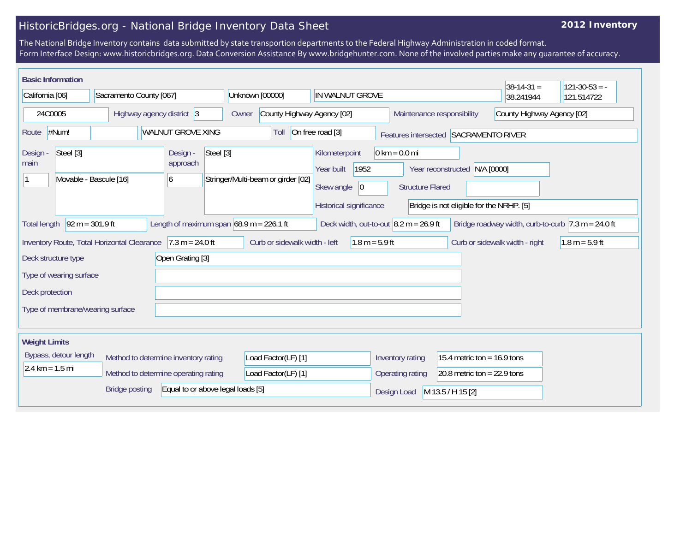## HistoricBridges.org - National Bridge Inventory Data Sheet

## **2012 Inventory**

The National Bridge Inventory contains data submitted by state transportion departments to the Federal Highway Administration in coded format. Form Interface Design: www.historicbridges.org. Data Conversion Assistance By www.bridgehunter.com. None of the involved parties make any guarantee of accuracy.

| <b>Basic Information</b>          |                         |                                             |    |                                            |           |                                     |                                    |  |                                                                       |                     |                                       |                                                                |                            |                               | $38-14-31 =$                             |            | $121-30-53 = -$                                                        |
|-----------------------------------|-------------------------|---------------------------------------------|----|--------------------------------------------|-----------|-------------------------------------|------------------------------------|--|-----------------------------------------------------------------------|---------------------|---------------------------------------|----------------------------------------------------------------|----------------------------|-------------------------------|------------------------------------------|------------|------------------------------------------------------------------------|
| California [06]                   |                         | Sacramento County [067]                     |    |                                            |           | Unknown [00000]                     |                                    |  | IN WALNUT GROVE                                                       |                     |                                       |                                                                |                            | 38.241944                     |                                          | 121.514722 |                                                                        |
| 24C0005                           |                         | Highway agency district 3                   |    |                                            |           | County Highway Agency [02]<br>Owner |                                    |  | Maintenance responsibility                                            |                     |                                       |                                                                | County Highway Agency [02] |                               |                                          |            |                                                                        |
| $\#Num!$<br>Route                 |                         |                                             |    | <b>WALNUT GROVE XING</b>                   |           |                                     | On free road [3]<br>Toll           |  |                                                                       |                     | Features intersected SACRAMENTO RIVER |                                                                |                            |                               |                                          |            |                                                                        |
| Design -<br>main                  | Steel [3]               | Movable - Bascule [16]                      | 16 | Design -<br>approach                       | Steel [3] |                                     | Stringer/Multi-beam or girder [02] |  | Kilometerpoint<br>Year built<br>Skew angle<br>Historical significance | 1952<br>$ 0\rangle$ |                                       | $0 \text{ km} = 0.0 \text{ mi}$<br><b>Structure Flared</b>     | Year reconstructed         | N/A [0000]                    | Bridge is not eligible for the NRHP. [5] |            |                                                                        |
| <b>Total length</b>               | $92 m = 301.9 ft$       |                                             |    | Length of maximum span $68.9$ m = 226.1 ft |           |                                     |                                    |  |                                                                       |                     |                                       | Deck width, out-to-out $\vert 8.2 \text{ m} = 26.9 \text{ ft}$ |                            |                               |                                          |            | Bridge roadway width, curb-to-curb $ 7.3 \text{ m} = 24.0 \text{ ft} $ |
|                                   |                         | Inventory Route, Total Horizontal Clearance |    | $7.3 m = 24.0 ft$                          |           |                                     | Curb or sidewalk width - left      |  |                                                                       | $1.8 m = 5.9 ft$    |                                       |                                                                |                            |                               | Curb or sidewalk width - right           |            | $1.8 m = 5.9 ft$                                                       |
| Deck structure type               |                         |                                             |    | Open Grating [3]                           |           |                                     |                                    |  |                                                                       |                     |                                       |                                                                |                            |                               |                                          |            |                                                                        |
|                                   | Type of wearing surface |                                             |    |                                            |           |                                     |                                    |  |                                                                       |                     |                                       |                                                                |                            |                               |                                          |            |                                                                        |
| Deck protection                   |                         |                                             |    |                                            |           |                                     |                                    |  |                                                                       |                     |                                       |                                                                |                            |                               |                                          |            |                                                                        |
|                                   |                         | Type of membrane/wearing surface            |    |                                            |           |                                     |                                    |  |                                                                       |                     |                                       |                                                                |                            |                               |                                          |            |                                                                        |
| <b>Weight Limits</b>              |                         |                                             |    |                                            |           |                                     |                                    |  |                                                                       |                     |                                       |                                                                |                            |                               |                                          |            |                                                                        |
|                                   | Bypass, detour length   |                                             |    | Method to determine inventory rating       |           |                                     | Load Factor(LF) [1]                |  |                                                                       |                     |                                       | Inventory rating                                               |                            | 15.4 metric ton = $16.9$ tons |                                          |            |                                                                        |
| $2.4 \text{ km} = 1.5 \text{ mi}$ |                         |                                             |    | Method to determine operating rating       |           |                                     | Load Factor(LF) [1]                |  |                                                                       |                     |                                       | Operating rating                                               |                            | 20.8 metric ton = $22.9$ tons |                                          |            |                                                                        |
|                                   |                         | <b>Bridge posting</b>                       |    | Equal to or above legal loads [5]          |           |                                     |                                    |  |                                                                       |                     |                                       | Design Load                                                    | M 13.5 / H 15 [2]          |                               |                                          |            |                                                                        |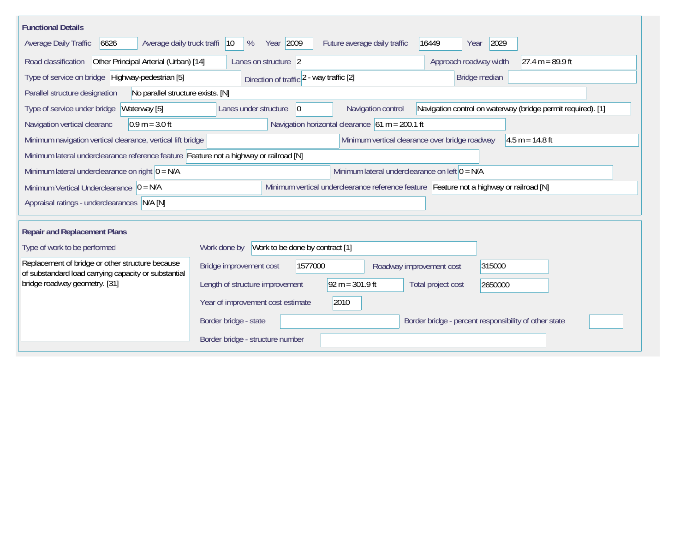| <b>Functional Details</b>                                                                                |                                                                                                                               |  |  |  |  |  |  |
|----------------------------------------------------------------------------------------------------------|-------------------------------------------------------------------------------------------------------------------------------|--|--|--|--|--|--|
| 6626<br>Average daily truck traffi<br>Average Daily Traffic                                              | Year 2009<br>2029<br>$ 10\rangle$<br>%<br>Future average daily traffic<br>16449<br>Year                                       |  |  |  |  |  |  |
| Other Principal Arterial (Urban) [14]<br>Road classification                                             | Approach roadway width<br>$27.4 m = 89.9 ft$<br>Lanes on structure 2                                                          |  |  |  |  |  |  |
| Type of service on bridge Highway-pedestrian [5]                                                         | Bridge median<br>Direction of traffic 2 - way traffic [2]                                                                     |  |  |  |  |  |  |
| Parallel structure designation<br>No parallel structure exists. [N]                                      |                                                                                                                               |  |  |  |  |  |  |
| Waterway [5]<br>Type of service under bridge                                                             | Navigation control on waterway (bridge permit required). [1]<br>Navigation control<br>Lanes under structure<br>$\overline{0}$ |  |  |  |  |  |  |
| $0.9 m = 3.0 ft$<br>Navigation vertical clearanc                                                         | Navigation horizontal clearance $61 m = 200.1 ft$                                                                             |  |  |  |  |  |  |
| Minimum navigation vertical clearance, vertical lift bridge                                              | Minimum vertical clearance over bridge roadway<br>$4.5 m = 14.8 ft$                                                           |  |  |  |  |  |  |
| Minimum lateral underclearance reference feature Feature not a highway or railroad [N]                   |                                                                                                                               |  |  |  |  |  |  |
| Minimum lateral underclearance on right $0 = N/A$                                                        | Minimum lateral underclearance on left $0 = N/A$                                                                              |  |  |  |  |  |  |
| Minimum Vertical Underclearance $ 0 = N/A$                                                               | Minimum vertical underclearance reference feature Feature not a highway or railroad [N]                                       |  |  |  |  |  |  |
| Appraisal ratings - underclearances N/A [N]                                                              |                                                                                                                               |  |  |  |  |  |  |
|                                                                                                          |                                                                                                                               |  |  |  |  |  |  |
| <b>Repair and Replacement Plans</b>                                                                      |                                                                                                                               |  |  |  |  |  |  |
| Type of work to be performed                                                                             | Work to be done by contract [1]<br>Work done by                                                                               |  |  |  |  |  |  |
| Replacement of bridge or other structure because<br>of substandard load carrying capacity or substantial | 1577000<br>315000<br>Bridge improvement cost<br>Roadway improvement cost                                                      |  |  |  |  |  |  |
| bridge roadway geometry. [31]                                                                            | $92 m = 301.9 ft$<br>Length of structure improvement<br>Total project cost<br>2650000                                         |  |  |  |  |  |  |
|                                                                                                          | 2010<br>Year of improvement cost estimate                                                                                     |  |  |  |  |  |  |
|                                                                                                          | Border bridge - state<br>Border bridge - percent responsibility of other state                                                |  |  |  |  |  |  |
|                                                                                                          | Border bridge - structure number                                                                                              |  |  |  |  |  |  |